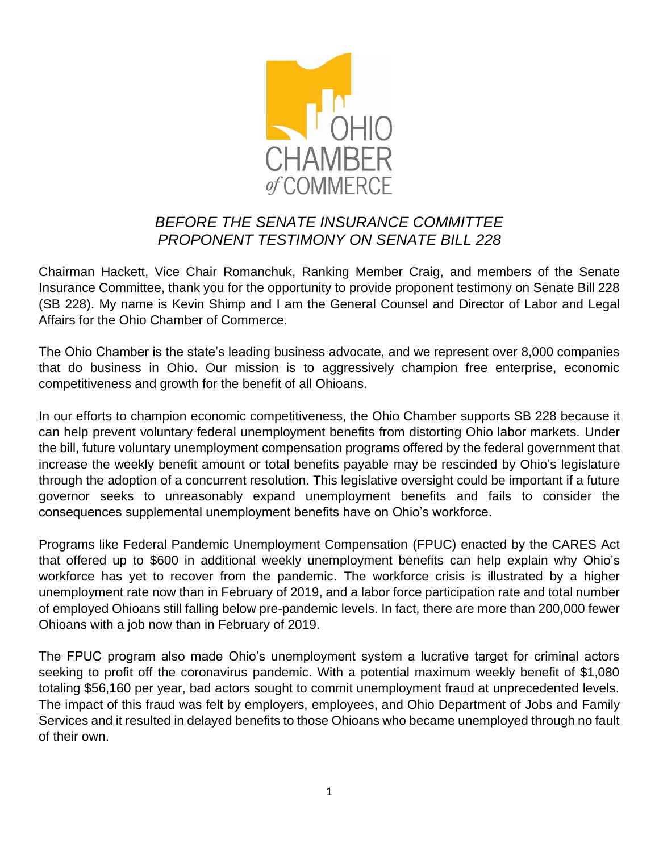

## *BEFORE THE SENATE INSURANCE COMMITTEE PROPONENT TESTIMONY ON SENATE BILL 228*

Chairman Hackett, Vice Chair Romanchuk, Ranking Member Craig, and members of the Senate Insurance Committee, thank you for the opportunity to provide proponent testimony on Senate Bill 228 (SB 228). My name is Kevin Shimp and I am the General Counsel and Director of Labor and Legal Affairs for the Ohio Chamber of Commerce.

The Ohio Chamber is the state's leading business advocate, and we represent over 8,000 companies that do business in Ohio. Our mission is to aggressively champion free enterprise, economic competitiveness and growth for the benefit of all Ohioans.

In our efforts to champion economic competitiveness, the Ohio Chamber supports SB 228 because it can help prevent voluntary federal unemployment benefits from distorting Ohio labor markets. Under the bill, future voluntary unemployment compensation programs offered by the federal government that increase the weekly benefit amount or total benefits payable may be rescinded by Ohio's legislature through the adoption of a concurrent resolution. This legislative oversight could be important if a future governor seeks to unreasonably expand unemployment benefits and fails to consider the consequences supplemental unemployment benefits have on Ohio's workforce.

Programs like Federal Pandemic Unemployment Compensation (FPUC) enacted by the CARES Act that offered up to \$600 in additional weekly unemployment benefits can help explain why Ohio's workforce has yet to recover from the pandemic. The workforce crisis is illustrated by a higher unemployment rate now than in February of 2019, and a labor force participation rate and total number of employed Ohioans still falling below pre-pandemic levels. In fact, there are more than 200,000 fewer Ohioans with a job now than in February of 2019.

The FPUC program also made Ohio's unemployment system a lucrative target for criminal actors seeking to profit off the coronavirus pandemic. With a potential maximum weekly benefit of \$1,080 totaling \$56,160 per year, bad actors sought to commit unemployment fraud at unprecedented levels. The impact of this fraud was felt by employers, employees, and Ohio Department of Jobs and Family Services and it resulted in delayed benefits to those Ohioans who became unemployed through no fault of their own.